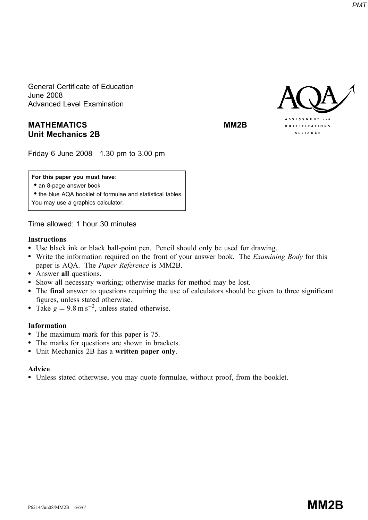General Certificate of Education June 2008 Advanced Level Examination

# MATHEMATICS MATHEMATICS Unit Mechanics 2B

Friday 6 June 2008 1.30 pm to 3.00 pm

## For this paper you must have:

• an 8-page answer book

• the blue AQA booklet of formulae and statistical tables. You may use a graphics calculator.

Time allowed: 1 hour 30 minutes

## Instructions

- \* Use black ink or black ball-point pen. Pencil should only be used for drawing.
- Write the information required on the front of your answer book. The *Examining Body* for this paper is AQA. The Paper Reference is MM2B.
- Answer all questions.
- \* Show all necessary working; otherwise marks for method may be lost.
- \* The final answer to questions requiring the use of calculators should be given to three significant figures, unless stated otherwise.
- Take  $g = 9.8 \text{ m s}^{-2}$ , unless stated otherwise.

## Information

- The maximum mark for this paper is 75.
- The marks for questions are shown in brackets.
- Unit Mechanics 2B has a written paper only.

## Advice

\* Unless stated otherwise, you may quote formulae, without proof, from the booklet.



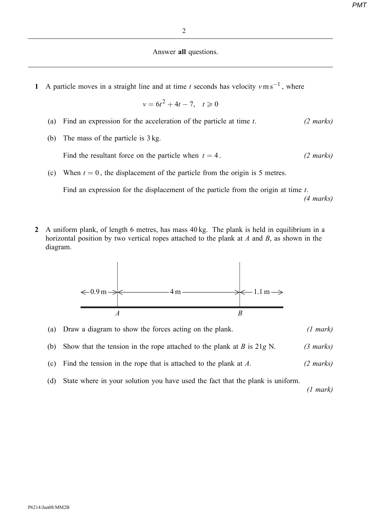#### Answer all questions.

1 A particle moves in a straight line and at time t seconds has velocity  $v \text{ m s}^{-1}$ , where

$$
v = 6t^2 + 4t - 7, \quad t \ge 0
$$

- (a) Find an expression for the acceleration of the particle at time  $t$ . (2 marks)
- (b) The mass of the particle is 3 kg.

Find the resultant force on the particle when  $t = 4$ . (2 marks)

(c) When  $t = 0$ , the displacement of the particle from the origin is 5 metres.

Find an expression for the displacement of the particle from the origin at time t. (4 marks)

2 A uniform plank, of length 6 metres, has mass  $40 \text{ kg}$ . The plank is held in equilibrium in a horizontal position by two vertical ropes attached to the plank at  $A$  and  $B$ , as shown in the diagram.



| (a) Draw a diagram to show the forces acting on the plank.                     | $(1 \text{ mark})$  |
|--------------------------------------------------------------------------------|---------------------|
| (b) Show that the tension in the rope attached to the plank at $B$ is $21g$ N. | $(3 \text{ marks})$ |

- (c) Find the tension in the rope that is attached to the plank at  $A$ . (2 marks)
- (d) State where in your solution you have used the fact that the plank is uniform.

(1 mark)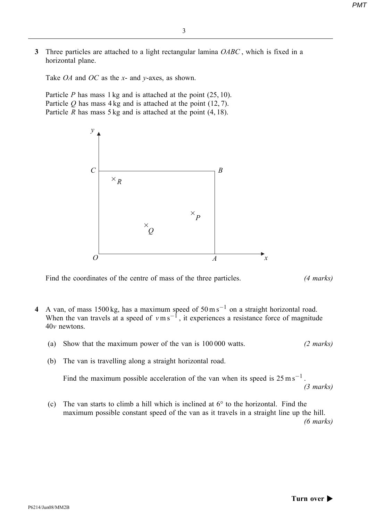3 Three particles are attached to a light rectangular lamina OABC, which is fixed in a horizontal plane.

Take *OA* and *OC* as the *x*- and *y*-axes, as shown.

Particle  $P$  has mass 1 kg and is attached at the point  $(25, 10)$ . Particle  $Q$  has mass 4 kg and is attached at the point (12, 7). Particle R has mass  $5 \text{ kg}$  and is attached at the point  $(4, 18)$ .



Find the coordinates of the centre of mass of the three particles. (4 marks)

- 4 A van, of mass 1500 kg, has a maximum speed of  $50 \text{ m s}^{-1}$  on a straight horizontal road. When the van travels at a speed of  $v \text{ m s}^{-1}$ , it experiences a resistance force of magnitude 40v newtons.
	- (a) Show that the maximum power of the van is 100 000 watts. (2 marks)
	- (b) The van is travelling along a straight horizontal road.

Find the maximum possible acceleration of the van when its speed is  $25 \text{ m s}^{-1}$ . (3 marks)

(c) The van starts to climb a hill which is inclined at  $6^{\circ}$  to the horizontal. Find the maximum possible constant speed of the van as it travels in a straight line up the hill. (6 marks)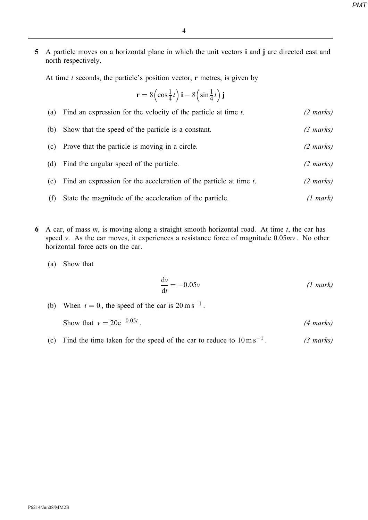5 A particle moves on a horizontal plane in which the unit vectors i and j are directed east and north respectively.

At time  $t$  seconds, the particle's position vector,  $\bf{r}$  metres, is given by

$$
\mathbf{r} = 8\left(\cos\frac{1}{4}t\right)\mathbf{i} - 8\left(\sin\frac{1}{4}t\right)\mathbf{j}
$$

| (a) | Find an expression for the velocity of the particle at time $t$ .  | $(2 \text{ marks})$ |
|-----|--------------------------------------------------------------------|---------------------|
| (b) | Show that the speed of the particle is a constant.                 | $(3 \text{ marks})$ |
| (c) | Prove that the particle is moving in a circle.                     | $(2 \text{ marks})$ |
| (d) | Find the angular speed of the particle.                            | $(2 \text{ marks})$ |
| (e) | Find an expression for the acceleration of the particle at time t. | $(2 \text{ marks})$ |
| (f) | State the magnitude of the acceleration of the particle.           | (1 mark)            |

6 A car, of mass  $m$ , is moving along a straight smooth horizontal road. At time  $t$ , the car has speed v. As the car moves, it experiences a resistance force of magnitude  $0.05mv$ . No other horizontal force acts on the car.

(a) Show that

$$
\frac{dv}{dt} = -0.05v \t\t (1 mark)
$$

(b) When  $t = 0$ , the speed of the car is  $20 \text{ m s}^{-1}$ .

Show that  $v = 20e^{-0.05t}$ . (4 marks)

(c) Find the time taken for the speed of the car to reduce to  $10 \text{ m s}^{-1}$ . (3 marks)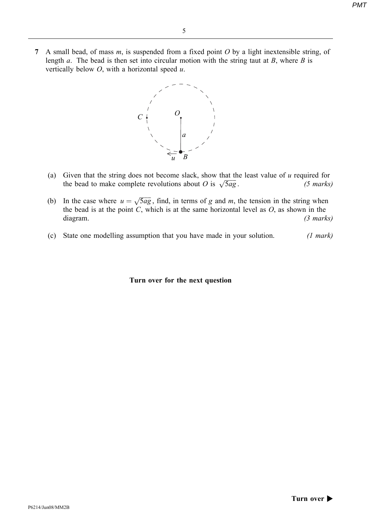7 A small bead, of mass  $m$ , is suspended from a fixed point  $O$  by a light inextensible string, of length a. The bead is then set into circular motion with the string taut at  $B$ , where  $B$  is vertically below  $O$ , with a horizontal speed  $u$ .



- (a) Given that the string does not become slack, show that the least value of u required for the bead to make complete revolutions about O is  $\sqrt{5ag}$ . (5 marks) the bead to make complete revolutions about O is  $\sqrt{5ag}$ .
- (b) In the case where  $u = \sqrt{5ag}$ , find, in terms of g and m, the tension in the string when the bead is at the point  $C$ , which is at the same horizontal level as  $O$ , as shown in the diagram. (3 marks)
- (c) State one modelling assumption that you have made in your solution. (1 mark)

#### Turn over for the next question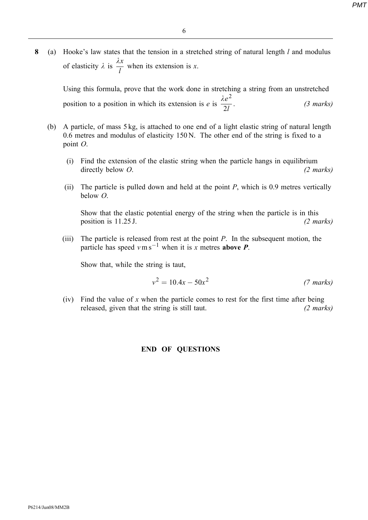8 (a) Hooke's law states that the tension in a stretched string of natural length  $l$  and modulus of elasticity  $\lambda$  is  $\frac{\lambda x}{l}$  $\frac{dS}{dt}$  when its extension is x.

Using this formula, prove that the work done in stretching a string from an unstretched position to a position in which its extension is e is  $\frac{\lambda e^2}{2l}$ .  $(3$  marks)

- (b) A particle, of mass 5 kg, is attached to one end of a light elastic string of natural length 0.6 metres and modulus of elasticity 150 N. The other end of the string is fixed to a point O.
	- (i) Find the extension of the elastic string when the particle hangs in equilibrium directly below O. (2 marks)
	- (ii) The particle is pulled down and held at the point  $P$ , which is 0.9 metres vertically below O.

Show that the elastic potential energy of the string when the particle is in this position is  $11.25$  J. (2 marks)

(iii) The particle is released from rest at the point  $P$ . In the subsequent motion, the particle has speed  $v \text{ m s}^{-1}$  when it is x metres **above P**.

Show that, while the string is taut,

$$
v^2 = 10.4x - 50x^2
$$
 (7 marks)

(iv) Find the value of x when the particle comes to rest for the first time after being released, given that the string is still taut. (2 marks)

## END OF QUESTIONS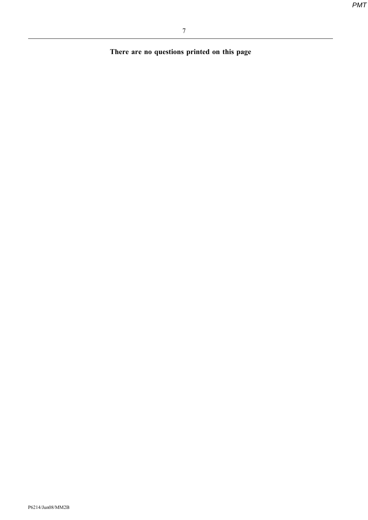There are no questions printed on this page